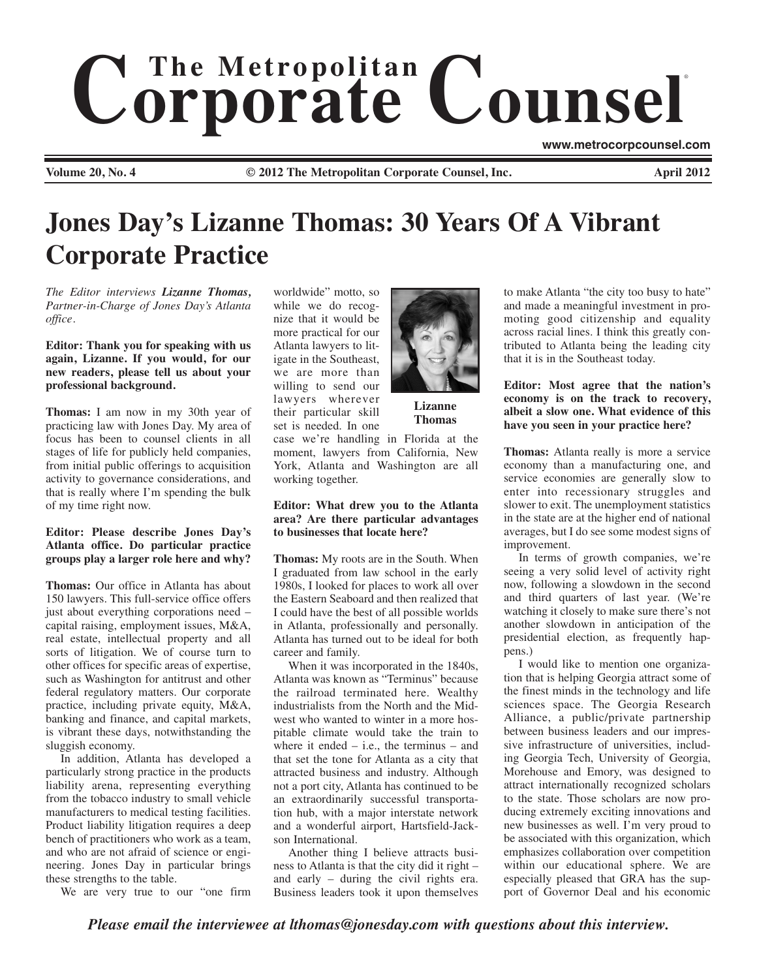# $$ ®

**Volume 20, No. 4 © 2012 The Metropolitan Corporate Counsel, Inc. April 2012**

**www.metrocorpcounsel.com**

# **Jones Day's Lizanne Thomas: 30 Years Of A Vibrant Corporate Practice**

*The Editor interviews Lizanne Thomas, Partner-in-Charge of Jones Day's Atlanta office.*

## **Editor: Thank you for speaking with us again, Lizanne. If you would, for our new readers, please tell us about your professional background.**

**Thomas:** I am now in my 30th year of practicing law with Jones Day. My area of focus has been to counsel clients in all stages of life for publicly held companies, from initial public offerings to acquisition activity to governance considerations, and that is really where I'm spending the bulk of my time right now.

# **Editor: Please describe Jones Day's Atlanta office. Do particular practice groups play a larger role here and why?**

**Thomas:** Our office in Atlanta has about 150 lawyers. This full-service office offers just about everything corporations need – capital raising, employment issues, M&A, real estate, intellectual property and all sorts of litigation. We of course turn to other offices for specific areas of expertise, such as Washington for antitrust and other federal regulatory matters. Our corporate practice, including private equity, M&A, banking and finance, and capital markets, is vibrant these days, notwithstanding the sluggish economy.

In addition, Atlanta has developed a particularly strong practice in the products liability arena, representing everything from the tobacco industry to small vehicle manufacturers to medical testing facilities. Product liability litigation requires a deep bench of practitioners who work as a team, and who are not afraid of science or engineering. Jones Day in particular brings these strengths to the table.

We are very true to our "one firm

worldwide" motto, so while we do recognize that it would be more practical for our Atlanta lawyers to litigate in the Southeast, we are more than willing to send our lawyers wherever their particular skill set is needed. In one

case we're handling in Florida at the moment, lawyers from California, New York, Atlanta and Washington are all working together.

## **Editor: What drew you to the Atlanta area? Are there particular advantages to businesses that locate here?**

**Thomas:** My roots are in the South. When I graduated from law school in the early 1980s, I looked for places to work all over the Eastern Seaboard and then realized that I could have the best of all possible worlds in Atlanta, professionally and personally. Atlanta has turned out to be ideal for both career and family.

When it was incorporated in the 1840s, Atlanta was known as "Terminus" because the railroad terminated here. Wealthy industrialists from the North and the Midwest who wanted to winter in a more hospitable climate would take the train to where it ended  $-$  i.e., the terminus  $-$  and that set the tone for Atlanta as a city that attracted business and industry. Although not a port city, Atlanta has continued to be an extraordinarily successful transportation hub, with a major interstate network and a wonderful airport, Hartsfield-Jackson International.

Another thing I believe attracts business to Atlanta is that the city did it right – and early – during the civil rights era. Business leaders took it upon themselves

to make Atlanta "the city too busy to hate" and made a meaningful investment in promoting good citizenship and equality across racial lines. I think this greatly contributed to Atlanta being the leading city that it is in the Southeast today.

**Editor: Most agree that the nation's economy is on the track to recovery, albeit a slow one. What evidence of this have you seen in your practice here?** 

**Thomas:** Atlanta really is more a service economy than a manufacturing one, and service economies are generally slow to enter into recessionary struggles and slower to exit. The unemployment statistics in the state are at the higher end of national averages, but I do see some modest signs of improvement.

In terms of growth companies, we're seeing a very solid level of activity right now, following a slowdown in the second and third quarters of last year. (We're watching it closely to make sure there's not another slowdown in anticipation of the presidential election, as frequently happens.)

I would like to mention one organization that is helping Georgia attract some of the finest minds in the technology and life sciences space. The Georgia Research Alliance, a public/private partnership between business leaders and our impressive infrastructure of universities, including Georgia Tech, University of Georgia, Morehouse and Emory, was designed to attract internationally recognized scholars to the state. Those scholars are now producing extremely exciting innovations and new businesses as well. I'm very proud to be associated with this organization, which emphasizes collaboration over competition within our educational sphere. We are especially pleased that GRA has the support of Governor Deal and his economic

*Please email the interviewee at lthomas@jonesday.com with questions about this interview.* 



**Lizanne Thomas**